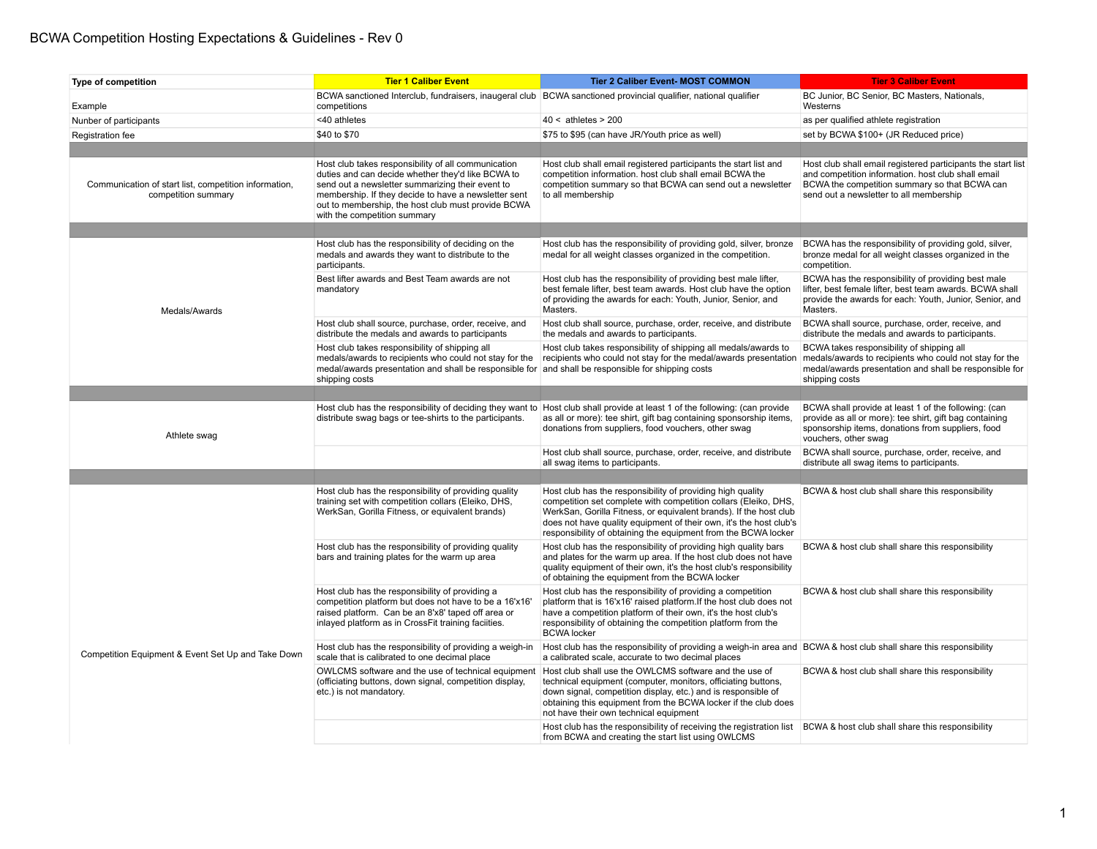## BCWA Competition Hosting Expectations & Guidelines - Rev 0

| Type of competition                                                          | <b>Tier 1 Caliber Event</b>                                                                                                                                                                                                                                                                                | <b>Tier 2 Caliber Event- MOST COMMON</b>                                                                                                                                                                                                                                                                                                   | <b>Tier 3 Caliber Event</b>                                                                                                                                                                                    |
|------------------------------------------------------------------------------|------------------------------------------------------------------------------------------------------------------------------------------------------------------------------------------------------------------------------------------------------------------------------------------------------------|--------------------------------------------------------------------------------------------------------------------------------------------------------------------------------------------------------------------------------------------------------------------------------------------------------------------------------------------|----------------------------------------------------------------------------------------------------------------------------------------------------------------------------------------------------------------|
| Example                                                                      | BCWA sanctioned Interclub, fundraisers, inaugeral club   BCWA sanctioned provincial qualifier, national qualifier<br>competitions                                                                                                                                                                          |                                                                                                                                                                                                                                                                                                                                            | BC Junior, BC Senior, BC Masters, Nationals,<br>Westerns                                                                                                                                                       |
| Nunber of participants                                                       | <40 athletes                                                                                                                                                                                                                                                                                               | $40 <$ athletes > 200                                                                                                                                                                                                                                                                                                                      | as per qualified athlete registration                                                                                                                                                                          |
| Registration fee                                                             | \$40 to \$70                                                                                                                                                                                                                                                                                               | \$75 to \$95 (can have JR/Youth price as well)                                                                                                                                                                                                                                                                                             | set by BCWA \$100+ (JR Reduced price)                                                                                                                                                                          |
|                                                                              |                                                                                                                                                                                                                                                                                                            |                                                                                                                                                                                                                                                                                                                                            |                                                                                                                                                                                                                |
| Communication of start list, competition information,<br>competition summary | Host club takes responsibility of all communication<br>duties and can decide whether they'd like BCWA to<br>send out a newsletter summarizing their event to<br>membership. If they decide to have a newsletter sent<br>out to membership, the host club must provide BCWA<br>with the competition summary | Host club shall email registered participants the start list and<br>competition information. host club shall email BCWA the<br>competition summary so that BCWA can send out a newsletter<br>to all membership                                                                                                                             | Host club shall email registered participants the start list<br>and competition information. host club shall email<br>BCWA the competition summary so that BCWA can<br>send out a newsletter to all membership |
|                                                                              |                                                                                                                                                                                                                                                                                                            |                                                                                                                                                                                                                                                                                                                                            |                                                                                                                                                                                                                |
| Medals/Awards                                                                | Host club has the responsibility of deciding on the<br>medals and awards they want to distribute to the<br>participants.                                                                                                                                                                                   | Host club has the responsibility of providing gold, silver, bronze<br>medal for all weight classes organized in the competition.                                                                                                                                                                                                           | BCWA has the responsibility of providing gold, silver,<br>bronze medal for all weight classes organized in the<br>competition.                                                                                 |
|                                                                              | Best lifter awards and Best Team awards are not<br>mandatory                                                                                                                                                                                                                                               | Host club has the responsibility of providing best male lifter,<br>best female lifter, best team awards. Host club have the option<br>of providing the awards for each: Youth, Junior, Senior, and<br>Masters.                                                                                                                             | BCWA has the responsibility of providing best male<br>lifter, best female lifter, best team awards. BCWA shall<br>provide the awards for each: Youth, Junior, Senior, and<br>Masters.                          |
|                                                                              | Host club shall source, purchase, order, receive, and<br>distribute the medals and awards to participants                                                                                                                                                                                                  | Host club shall source, purchase, order, receive, and distribute<br>the medals and awards to participants.                                                                                                                                                                                                                                 | BCWA shall source, purchase, order, receive, and<br>distribute the medals and awards to participants.                                                                                                          |
|                                                                              | Host club takes responsibility of shipping all<br>medals/awards to recipients who could not stay for the<br>medal/awards presentation and shall be responsible for<br>shipping costs                                                                                                                       | Host club takes responsibility of shipping all medals/awards to<br>recipients who could not stay for the medal/awards presentation<br>and shall be responsible for shipping costs                                                                                                                                                          | BCWA takes responsibility of shipping all<br>medals/awards to recipients who could not stay for the<br>medal/awards presentation and shall be responsible for<br>shipping costs                                |
|                                                                              |                                                                                                                                                                                                                                                                                                            |                                                                                                                                                                                                                                                                                                                                            |                                                                                                                                                                                                                |
| Athlete swag                                                                 | distribute swag bags or tee-shirts to the participants.                                                                                                                                                                                                                                                    | Host club has the responsibility of deciding they want to Host club shall provide at least 1 of the following: (can provide<br>as all or more): tee shirt, gift bag containing sponsorship items,<br>donations from suppliers, food vouchers, other swag                                                                                   | BCWA shall provide at least 1 of the following: (can<br>provide as all or more): tee shirt, gift bag containing<br>sponsorship items, donations from suppliers, food<br>vouchers, other swag                   |
|                                                                              |                                                                                                                                                                                                                                                                                                            | Host club shall source, purchase, order, receive, and distribute<br>all swag items to participants.                                                                                                                                                                                                                                        | BCWA shall source, purchase, order, receive, and<br>distribute all swag items to participants.                                                                                                                 |
|                                                                              |                                                                                                                                                                                                                                                                                                            |                                                                                                                                                                                                                                                                                                                                            |                                                                                                                                                                                                                |
| Competition Equipment & Event Set Up and Take Down                           | Host club has the responsibility of providing quality<br>training set with competition collars (Eleiko, DHS,<br>WerkSan, Gorilla Fitness, or equivalent brands)                                                                                                                                            | Host club has the responsibility of providing high quality<br>competition set complete with competition collars (Eleiko, DHS,<br>WerkSan, Gorilla Fitness, or equivalent brands). If the host club<br>does not have quality equipment of their own, it's the host club's<br>responsibility of obtaining the equipment from the BCWA locker | BCWA & host club shall share this responsibility                                                                                                                                                               |
|                                                                              | Host club has the responsibility of providing quality<br>bars and training plates for the warm up area                                                                                                                                                                                                     | Host club has the responsibility of providing high quality bars<br>and plates for the warm up area. If the host club does not have<br>quality equipment of their own, it's the host club's responsibility<br>of obtaining the equipment from the BCWA locker                                                                               | BCWA & host club shall share this responsibility                                                                                                                                                               |
|                                                                              | Host club has the responsibility of providing a<br>competition platform but does not have to be a 16'x16'<br>raised platform. Can be an 8'x8' taped off area or<br>inlayed platform as in CrossFit training faciities.                                                                                     | Host club has the responsibility of providing a competition<br>platform that is 16'x16' raised platform. If the host club does not<br>have a competition platform of their own, it's the host club's<br>responsibility of obtaining the competition platform from the<br><b>BCWA</b> locker                                                | BCWA & host club shall share this responsibility                                                                                                                                                               |
|                                                                              | Host club has the responsibility of providing a weigh-in<br>scale that is calibrated to one decimal place                                                                                                                                                                                                  | Host club has the responsibility of providing a weigh-in area and BCWA & host club shall share this responsibility<br>a calibrated scale, accurate to two decimal places                                                                                                                                                                   |                                                                                                                                                                                                                |
|                                                                              | OWLCMS software and the use of technical equipment<br>(officiating buttons, down signal, competition display,<br>etc.) is not mandatory.                                                                                                                                                                   | Host club shall use the OWLCMS software and the use of<br>technical equipment (computer, monitors, officiating buttons,<br>down signal, competition display, etc.) and is responsible of<br>obtaining this equipment from the BCWA locker if the club does<br>not have their own technical equipment                                       | BCWA & host club shall share this responsibility                                                                                                                                                               |
|                                                                              |                                                                                                                                                                                                                                                                                                            | Host club has the responsibility of receiving the registration list  BCWA & host club shall share this responsibility<br>from BCWA and creating the start list using OWLCMS                                                                                                                                                                |                                                                                                                                                                                                                |